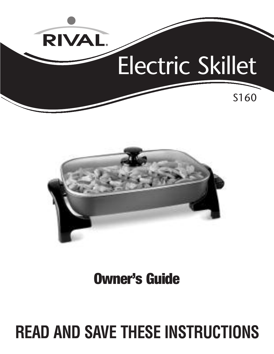



**Owner's Guide**

# **READ AND SAVE THESE INSTRUCTIONS**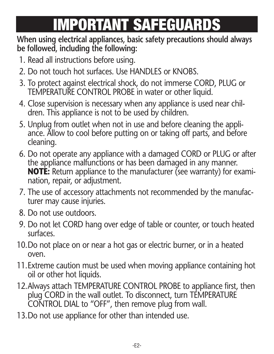# **IMPORTANT SAFEGUARDS**

### **When using electrical appliances, basic safety precautions should always be followed, including the following:**

- 1. Read all instructions before using.
- 2. Do not touch hot surfaces. Use HANDLES or KNOBS.
- 3. To protect against electrical shock, do not immerse CORD, PLUG or TEMPERATURE CONTROL PROBE in water or other liquid.
- 4. Close supervision is necessary when any appliance is used near children. This appliance is not to be used by children.
- 5. Unplug from outlet when not in use and before cleaning the appli ance. Allow to cool before putting on or taking off parts, and before cleaning.
- 6. Do not operate any appliance with a damaged CORD or PLUG or after the appliance malfunctions or has been damaged in any manner. **NOTE:** Return appliance to the manufacturer (see warranty) for examination, repair, or adjustment.
- 7. The use of accessory attachments not recommended by the manufacturer may cause injuries.
- 8. Do not use outdoors.
- 9. Do not let CORD hang over edge of table or counter, or touch heated surfaces.
- 10.Do not place on or near a hot gas or electric burner, or in a heated oven.
- 11.Extreme caution must be used when moving appliance containing hot oil or other hot liquids.
- 12.Always attach TEMPERATURE CONTROL PROBE to appliance first, then plug CORD in the wall outlet. To disconnect, turn TEMPERATURE CONTROL DIAL to "OFF", then remove plug from wall.
- 13.Do not use appliance for other than intended use.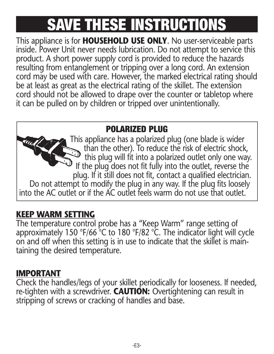# **SAVE THESE INSTRUCTIONS**

This appliance is for **HOUSEHOLD USE ONLY**. No user-serviceable parts inside. Power Unit never needs lubrication. Do not attempt to service this product. A short power supply cord is provided to reduce the hazards resulting from entanglement or tripping over a long cord. An extension cord may be used with care. However, the marked electrical rating should be at least as great as the electrical rating of the skillet. The extension cord should not be allowed to drape over the counter or tabletop where it can be pulled on by children or tripped over unintentionally.

### **POLARIZED PLUG**

This appliance has a polarized plug (one blade is wider than the other). To reduce the risk of electric shock, this plug will fit into a polarized outlet only one way. If the plug does not fit fully into the outlet, reverse the plug. If it still does not fit, contact a qualified electrician. Do not attempt to modify the plug in any way. If the plug fits loosely into the AC outlet or if the AC outlet feels warm do not use that outlet.

### **KEEP WARM SETTING**

The temperature control probe has a "Keep Warm" range setting of approximately 150 °F/66 °C to 180 °F/82 °C. The indicator light will cycle on and off when this setting is in use to indicate that the skillet is main taining the desired temperature.

### **IMPORTANT**

Check the handles/legs of your skillet periodically for looseness. If needed, re-tighten with a screwdriver. **CAUTION:** Overtightening can result in stripping of screws or cracking of handles and base.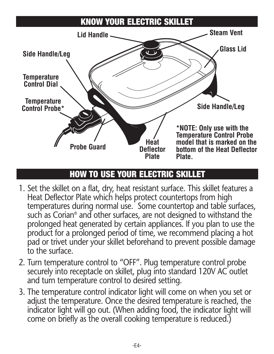### **KNOW YOUR ELECTRIC SKILLET**



### **HOW TO USE YOUR ELECTRIC SKILLET**

- 1. Set the skillet on a flat, dry, heat resistant surface. This skillet features a Heat Deflector Plate which helps protect countertops from high temperatures during normal use. Some countertop and table surfaces, such as Corian® and other surfaces, are not designed to withstand the prolonged heat generated by certain appliances. If you plan to use the product for a prolonged period of time, we recommend placing a hot pad or trivet under your skillet beforehand to prevent possible damage to the surface.
- 2. Turn temperature control to "OFF". Plug temperature control probe securely into receptacle on skillet, plug into standard 120V AC outlet and turn temperature control to desired setting.
- 3. The temperature control indicator light will come on when you set or adjust the temperature. Once the desired temperature is reached, the indicator light will go out. (When adding food, the indicator light will come on briefly as the overall cooking temperature is reduced.)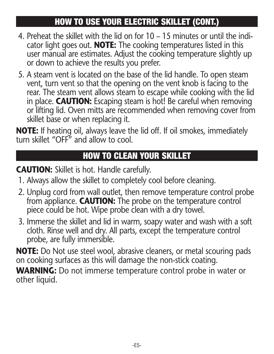### **HOW TO USE YOUR ELECTRIC SKILLET (CONT.)**

- 4. Preheat the skillet with the lid on for 10 15 minutes or until the indi cator light goes out. **NOTE:** The cooking temperatures listed in this user manual are estimates. Adjust the cooking temperature slightly up or down to achieve the results you prefer.
- 5. A steam vent is located on the base of the lid handle. To open steam vent, turn vent so that the opening on the vent knob is facing to the rear. The steam vent allows steam to escape while cooking with the lid in place. **CAUTION:** Escaping steam is hot! Be careful when removing or lifting lid. Oven mitts are recommended when removing cover from skillet base or when replacing it.

**NOTE:** If heating oil, always leave the lid off. If oil smokes, immediately turn skillet "OFF" and allow to cool.

### **HOW TO CLEAN YOUR SKILLET**

**CAUTION:** Skillet is hot. Handle carefully.

- 1. Always allow the skillet to completely cool before cleaning.
- 2. Unplug cord from wall outlet, then remove temperature control probe from appliance. **CAUTION:** The probe on the temperature control piece could be hot. Wipe probe clean with a dry towel.
- 3. Immerse the skillet and lid in warm, soapy water and wash with a soft cloth. Rinse well and dry. All parts, except the temperature control probe, are fully immersible.

**NOTE:** Do Not use steel wool, abrasive cleaners, or metal scouring pads on cooking surfaces as this will damage the non-stick coating.

**WARNING:** Do not immerse temperature control probe in water or other liquid.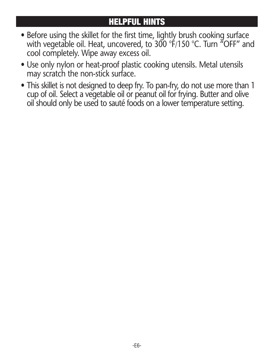### **HELPFUL HINTS**

- Before using the skillet for the first time, lightly brush cooking surface with vegetable oil. Heat, uncovered, to 300 °F/150 °C. Turn "OFF" and cool completely. Wipe away excess oil.
- Use only nylon or heat-proof plastic cooking utensils. Metal utensils may scratch the non-stick surface.
- This skillet is not designed to deep fry. To pan-fry, do not use more than 1 cup of oil. Select a vegetable oil or peanut oil for frying. Butter and olive oil should only be used to sauté foods on a lower temperature setting.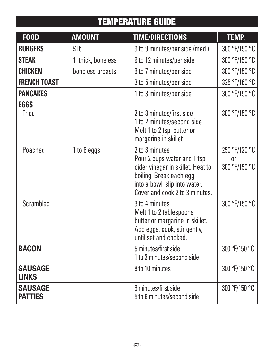### **TEMPERATURE GUIDE**

| <b>FOOD</b>                      | <b>AMOUNT</b>      | <b>TIME/DIRECTIONS</b>                                                                                                                                                            | <b>TEMP.</b>                         |
|----------------------------------|--------------------|-----------------------------------------------------------------------------------------------------------------------------------------------------------------------------------|--------------------------------------|
| <b>BURGERS</b>                   | $\frac{1}{4}$ lb.  | 3 to 9 minutes/per side (med.)                                                                                                                                                    | 300 °F/150 °C                        |
| <b>STEAK</b>                     | 1" thick, boneless | 9 to 12 minutes/per side                                                                                                                                                          | 300 °F/150 °C                        |
| <b>CHICKEN</b>                   | boneless breasts   | 6 to 7 minutes/per side                                                                                                                                                           | 300 °F/150 °C                        |
| <b>FRENCH TOAST</b>              |                    | 3 to 5 minutes/per side                                                                                                                                                           | 325 °F/160 °C                        |
| <b>PANCAKES</b>                  |                    | 1 to 3 minutes/per side                                                                                                                                                           | 300 °F/150 °C                        |
| <b>EGGS</b><br>Fried             |                    | 2 to 3 minutes/first side<br>1 to 2 minutes/second side<br>Melt 1 to 2 tsp. butter or<br>margarine in skillet                                                                     | 300 °F/150 °C                        |
| Poached                          | 1 to 6 eggs        | 2 to 3 minutes<br>Pour 2 cups water and 1 tsp.<br>cider vinegar in skillet. Heat to<br>boiling. Break each egg<br>into a bowl; slip into water.<br>Cover and cook 2 to 3 minutes. | 250 °F/120 °C<br>nr<br>300 °F/150 °C |
| Scrambled                        |                    | 3 to 4 minutes<br>Melt 1 to 2 tablespoons<br>butter or margarine in skillet.<br>Add eggs, cook, stir gently,<br>until set and cooked.                                             | 300 °F/150 °C                        |
| <b>BACON</b>                     |                    | 5 minutes/first side<br>1 to 3 minutes/second side                                                                                                                                | 300 °F/150 °C                        |
| <b>SAUSAGE</b><br><b>LINKS</b>   |                    | 8 to 10 minutes                                                                                                                                                                   | 300 °F/150 °C                        |
| <b>SAUSAGE</b><br><b>PATTIES</b> |                    | 6 minutes/first side<br>5 to 6 minutes/second side                                                                                                                                | 300 °F/150 °C                        |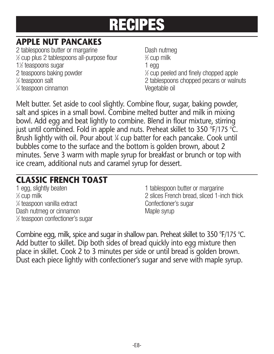### **APPLE NUT PANCAKES**

2 tablespoons butter or margarine **Dash nutmeg**  $%$  cup plus 2 tablespoons all-purpose flour  $\frac{2}{3}$ 1<sup>1</sup>/<sub>2</sub> teaspoons sugar 1 egg 2 teaspoons baking powder <sup>1</sup> 1⁄4 teaspoon salt 1 ⁄4 teaspoon cinnamon Vegetable oil

⁄3 cup milk ⁄2 cup peeled and finely chopped apple 2 tablespoons chopped pecans or walnuts

Melt butter. Set aside to cool slightly. Combine flour, sugar, baking powder, salt and spices in a small bowl. Combine melted butter and milk in mixing bowl. Add egg and beat lightly to combine. Blend in flour mixture, stirring just until combined. Fold in apple and nuts. Preheat skillet to 350 °F/175 °C. Brush lightly with oil. Pour about ¼ cup batter for each pancake. Cook until bubbles come to the surface and the bottom is golden brown, about 2 minutes. Serve 3 warm with maple syrup for breakfast or brunch or top with ice cream, additional nuts and caramel syrup for dessert.

## **CLASSIC FRENCH TOAST**

% cup milk <sup>1/4</sup> teaspoon vanilla extract confectioner's sugar Dash nutmeg or cinnamon metal was made syrup 1 ⁄2 teaspoon confectioner's sugar

1 tablespoon butter or margarine 2 slices French bread, sliced 1-inch thick

Combine egg, milk, spice and sugar in shallow pan. Preheat skillet to 350 °F/175 °C. Add butter to skillet. Dip both sides of bread quickly into egg mixture then place in skillet. Cook 2 to 3 minutes per side or until bread is golden brown. Dust each piece lightly with confectioner's sugar and serve with maple syrup.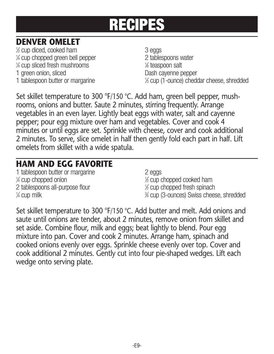### **DENVER OMELET**

1 ⁄2 cup diced, cooked ham 3 eggs 1 ⁄4 cup chopped green bell pepper 2 tablespoons water 1 ⁄4 cup sliced fresh mushrooms <sup>1</sup> 1 green onion, sliced **Dash cayenne pepper** 1 tablespoon butter or margarine

⁄8 teaspoon salt ⁄3 cup (1-ounce) cheddar cheese,shredded

Set skillet temperature to 300 °F/150 °C. Add ham, green bell pepper, mushrooms, onions and butter. Saute 2 minutes, stirring frequently. Arrange vegetables in an even layer. Lightly beat eggs with water, salt and cayenne pepper; pour egg mixture over ham and vegetables. Cover and cook 4 minutes or until eggs are set. Sprinkle with cheese, cover and cook additional 2 minutes. To serve, slice omelet in half then gently fold each part in half. Lift omelets from skillet with a wide spatula.

### **HAM AND EGG FAVORITE**

1 tablespoon butter or margarine 2 eggs  $\frac{1}{4}$  cup chopped onion  $\frac{1}{4}$ 2 tablespoons all-purpose flour  $\frac{1}{4}$  cup milk  $\frac{3}{4}$ 

⁄2 cup chopped cooked ham ⁄2 cup chopped fresh spinach ⁄4 cup (3-ounces) Swiss cheese,shredded

Set skillet temperature to 300 °F/150 °C. Add butter and melt. Add onions and saute until onions are tender, about 2 minutes, remove onion from skillet and set aside. Combine flour, milk and eggs; beat lightly to blend. Pour egg mixture into pan. Cover and cook 2 minutes. Arrange ham, spinach and cooked onions evenly over eggs. Sprinkle cheese evenly over top. Cover and cook additional 2 minutes. Gently cut into four pie-shaped wedges. Lift each wedge onto serving plate.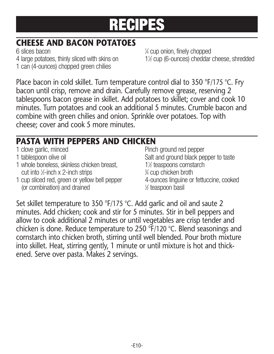### **CHEESE AND BACON POTATOES**

6 slices bacon <sup>1</sup> 4 large potatoes, thinly sliced with skins on 1 can (4-ounces) chopped green chilies

⁄4 cup onion, finely chopped 1% cup (6-ounces) cheddar cheese, shredded

Place bacon in cold skillet. Turn temperature control dial to 350 °F/175 °C. Fry bacon until crisp, remove and drain. Carefully remove grease, reserving 2 tablespoons bacon grease in skillet. Add potatoes to skillet; cover and cook 10 minutes. Turn potatoes and cook an additional 5 minutes. Crumble bacon and combine with green chilies and onion. Sprinkle over potatoes. Top with cheese; cover and cook 5 more minutes.

### **PASTA WITH PEPPERS AND CHICKEN**

| 1 clove garlic, minced                        | Pinch ground red pepper                 |
|-----------------------------------------------|-----------------------------------------|
| 1 tablespoon olive oil                        | Salt and ground black pepper to taste   |
| 1 whole boneless, skinless chicken breast,    | 1% teaspoons cornstarch                 |
| cut into $\frac{1}{2}$ -inch x 2-inch strips  | 3⁄4 cup chicken broth                   |
| 1 cup sliced red, green or yellow bell pepper | 4-ounces linguine or fettuccine, cooked |
| (or combination) and drained                  | 1/2 teaspoon basil                      |

Set skillet temperature to 350 °F/175 °C. Add garlic and oil and saute 2 minutes. Add chicken; cook and stir for 5 minutes. Stir in bell peppers and allow to cook additional 2 minutes or until vegetables are crisp tender and chicken is done. Reduce temperature to 250 °F/120 °C. Blend seasonings and cornstarch into chicken broth, stirring until well blended. Pour broth mixture into skillet. Heat, stirring gently, 1 minute or until mixture is hot and thickened. Serve over pasta. Makes 2 servings.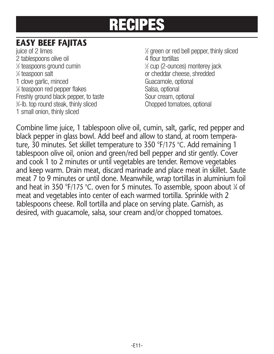### **EASY BEEF FAJITAS**

juice of 2 limes 2 tablespoons olive oil 4 flour tortillas  $\frac{1}{2}$  teaspoons ground cumin  $\frac{1}{2}$ 1⁄4 teaspoon salt 1 clove garlic, minced<br>1/4 teaspoon red pepper flakes Guacamole, optional Guacamole, optional % teaspoon red pepper flakes Salsa, optional Freshly ground black pepper, to taste Sour cream, optional<br>
%-lb. top round steak. thinly sliced Source Chopped tomatoes. optional 3 ⁄4-lb. top round steak, thinly sliced Chopped tomatoes, optional 1 small onion, thinly sliced

⁄2 green or red bell pepper, thinly sliced ⁄2 cup (2-ounces) monterey jack or cheddar cheese, shredded

Combine lime juice, 1 tablespoon olive oil, cumin, salt, garlic, red pepper and black pepper in glass bowl. Add beef and allow to stand, at room temperature, 30 minutes. Set skillet temperature to 350 °F/175 °C. Add remaining 1 tablespoon olive oil, onion and green/red bell pepper and stir gently. Cover and cook 1 to 2 minutes or until vegetables are tender. Remove vegetables and keep warm. Drain meat, discard marinade and place meat in skillet. Saute meat 7 to 9 minutes or until done. Meanwhile, wrap tortillas in aluminium foil and heat in 350 °F/175 °C. oven for 5 minutes. To assemble, spoon about <sup>1</sup> ⁄4 of meat and vegetables into center of each warmed tortilla. Sprinkle with 2 tablespoons cheese. Roll tortilla and place on serving plate. Garnish, as desired, with guacamole, salsa, sour cream and/or chopped tomatoes.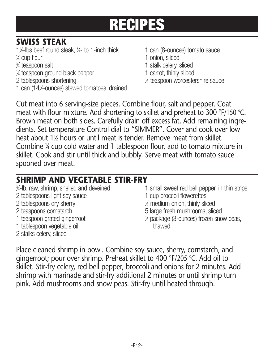### **SWISS STEAK**

- 1<sup>1/2</sup>-lbs beef round steak, 3
- 1/4 cup flour
- % teaspoon salt
- <sup>1/4</sup> teaspoon ground black pepper 1 carrot, thinly sliced
- 2 tablespoons shortening <sup>1</sup>
- 1 can (141 ⁄2-ounces) stewed tomatoes, drained
- 1 can (8-ounces) tomato sauce
- 1 onion, sliced
- 1 stalk celery, sliced<br>1 carrot, thinly sliced
- 
- ⁄2 teaspoon worcestershire sauce

Cut meat into 6 serving-size pieces. Combine flour, salt and pepper. Coat meat with flour mixture. Add shortening to skillet and preheat to 300 °F/150 °C. Brown meat on both sides. Carefully drain off excess fat. Add remaining ingredients. Set temperature Control dial to "SIMMER". Cover and cook over low heat about 1½ hours or until meat is tender. Remove meat from skillet. Combine <sup>1</sup> ⁄4 cup cold water and 1 tablespoon flour, add to tomato mixture in skillet. Cook and stir until thick and bubbly. Serve meat with tomato sauce spooned over meat.

### **SHRIMP AND VEGETABLE STIR-FRY**

- %-lb, raw, shrimp, shelled and deveined 2 tablespoons light soy sauce 2 tablespoons dry sherry<br>2 teaspoons cornstarch 1 teaspoon grated gingerroot 1 tablespoon vegetable oil thawed
- 2 stalks celery, sliced
- 1 small sweet red bell pepper, in thin strips<br>1 cup broccoli flowerettes
- 
- ⁄2 medium onion, thinly sliced
- 5 large fresh mushrooms, sliced
- ⁄2 package (3-ounces) frozen snow peas,

Place cleaned shrimp in bowl. Combine soy sauce, sherry, cornstarch, and gingerroot; pour over shrimp. Preheat skillet to 400 °F/205 °C. Add oil to skillet. Stir-fry celery, red bell pepper, broccoli and onions for 2 minutes. Add shrimp with marinade and stir-fry additional 2 minutes or until shrimp turn pink. Add mushrooms and snow peas. Stir-fry until heated through.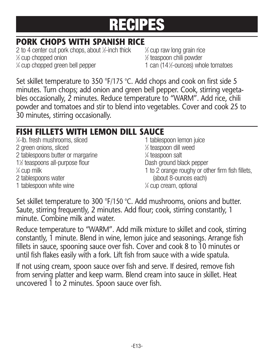### **PORK CHOPS WITH SPANISH RICE**

2 to 4 center cut pork chops, about <sup>1</sup> ⁄2-inch thick <sup>1</sup>  $\frac{1}{2}$  cup chopped onion 1 1 ⁄4 cup chopped green bell pepper 1 can (141

⁄3 cup raw long grain rice ⁄2 teaspoon chili powder 1 can (14½-ounces) whole tomatoes

Set skillet temperature to 350 °F/175 °C. Add chops and cook on first side 5 minutes. Turn chops; add onion and green bell pepper. Cook, stirring vegetables occasionally, 2 minutes. Reduce temperature to "WARM". Add rice, chili powder and tomatoes and stir to blend into vegetables. Cover and cook 25 to 30 minutes, stirring occasionally.

### **FISH FILLETS WITH LEMON DILL SAUCE**

| 1/ <sub>4</sub> -lb, fresh mushrooms, sliced | 1 tablespoon lemon juice                         |
|----------------------------------------------|--------------------------------------------------|
| 2 green onions, sliced                       | 1/ <sub>2</sub> teaspoon dill weed               |
| 2 tablespoons butter or margarine            | 1⁄4 teaspoon salt                                |
| 1% teaspoons all-purpose flour               | Dash ground black pepper                         |
| $\frac{1}{4}$ cup milk                       | 1 to 2 orange roughy or other firm fish fillets, |
| 2 tablespoons water                          | (about 8-ounces each)                            |
| 1 tablespoon white wine                      | 1⁄4 cup cream, optional                          |

Set skillet temperature to 300 °F/150 °C. Add mushrooms, onions and butter. Saute, stirring frequently, 2 minutes. Add flour; cook, stirring constantly, 1 minute. Combine milk and water.

Reduce temperature to "WARM". Add milk mixture to skillet and cook, stirring constantly, 1 minute. Blend in wine, lemon juice and seasonings. Arrange fish fillets in sauce, spooning sauce over fish. Cover and cook 8 to 10 minutes or until fish flakes easily with a fork. Lift fish from sauce with a wide spatula.

If not using cream, spoon sauce over fish and serve. If desired, remove fish from serving platter and keep warm. Blend cream into sauce in skillet. Heat uncovered 1 to 2 minutes. Spoon sauce over fish.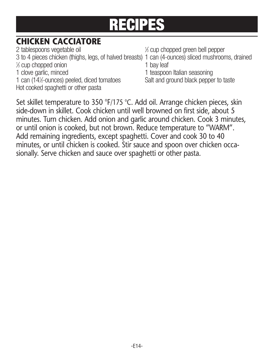### **CHICKEN CACCIATORE**

2 tablespoons vegetable oil <sup>1</sup> 3 to 4 pieces chicken (thighs, legs, of halved breasts) 1 can (4-ounces) sliced mushrooms, drained<br>  $\frac{1}{2}$  cup chonoed onion 1 ⁄3 cup chopped onion 1 bay leaf 1 clove garlic, minced 1 teaspoon Italian seasoning 1 can (14½-ounces) peeled, diced tomatoes Hot cooked spaghetti or other pasta

⁄3 cup chopped green bell pepper

Salt and ground black pepper to taste

Set skillet temperature to 350 °F/175 °C. Add oil. Arrange chicken pieces, skin side-down in skillet. Cook chicken until well browned on first side, about 5 minutes. Turn chicken. Add onion and garlic around chicken. Cook 3 minutes, or until onion is cooked, but not brown. Reduce temperature to "WARM". Add remaining ingredients, except spaghetti. Cover and cook 30 to 40 minutes, or until chicken is cooked. Stir sauce and spoon over chicken occasionally. Serve chicken and sauce over spaghetti or other pasta.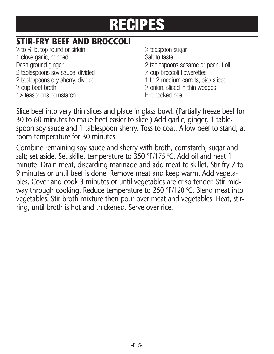### **STIR-FRY BEEF AND BROCCOLI**

 $\frac{1}{2}$  to  $\frac{3}{4}$ -lb. top round or sirloin  $\frac{1}{2}$ 1 clove garlic, minced<br>
Dash ground ginger<br>
2 tablespoor 2 tablespoons soy sauce, divided  $\frac{3}{2}$  cup broccoli flowerettes<br>2 tablespoons dry sherry, divided  $\frac{3}{2}$  to 2 medium carrots, bias sliced 2 tablespoons dry sherry, divided  $\frac{1}{2}$  cup beef broth  $\frac{1}{2}$ 1% teaspoons cornstarch hot cooked rice

⁄4 teaspoon sugar 2 tablespoons sesame or peanut oil ⁄4 cup broccoli flowerettes  $%$  onion, sliced in thin wedges

Slice beef into very thin slices and place in glass bowl. (Partially freeze beef for 30 to 60 minutes to make beef easier to slice.) Add garlic, ginger, 1 tablespoon soy sauce and 1 tablespoon sherry. Toss to coat. Allow beef to stand, at room temperature for 30 minutes.

Combine remaining soy sauce and sherry with broth, cornstarch, sugar and salt; set aside. Set skillet temperature to 350 °F/175 °C. Add oil and heat 1 minute. Drain meat, discarding marinade and add meat to skillet. Stir fry 7 to 9 minutes or until beef is done. Remove meat and keep warm. Add vegetables. Cover and cook 3 minutes or until vegetables are crisp tender. Stir midway through cooking. Reduce temperature to 250 °F/120 °C. Blend meat into vegetables. Stir broth mixture then pour over meat and vegetables. Heat, stirring, until broth is hot and thickened. Serve over rice.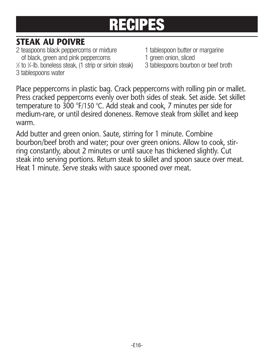### **STEAK AU POIVRE**

2 teaspoons black peppercorns or mixture 1 tablespoon butter or margarine<br>
of black, green and pink peppercorns
1 green onion, sliced of black, green and pink peppercorns and the state of black, green onion, sliced<br>to %-lb, boneless steak, (1 strip or sirloin steak) a tablespoons bourbon or beef broth % to %-lb. boneless steak, (1 strip or sirloin steak) 3 tablespoons bourbon or beef broth 3 tablespoons water

- 
- 
- 

Place peppercorns in plastic bag. Crack peppercorns with rolling pin or mallet. Press cracked peppercorns evenly over both sides of steak. Set aside. Set skillet temperature to 300 °F/150 °C. Add steak and cook, 7 minutes per side for medium-rare, or until desired doneness. Remove steak from skillet and keep warm.

Add butter and green onion. Saute, stirring for 1 minute. Combine bourbon/beef broth and water; pour over green onions. Allow to cook, stirring constantly, about 2 minutes or until sauce has thickened slightly. Cut steak into serving portions. Return steak to skillet and spoon sauce over meat. Heat 1 minute. Serve steaks with sauce spooned over meat.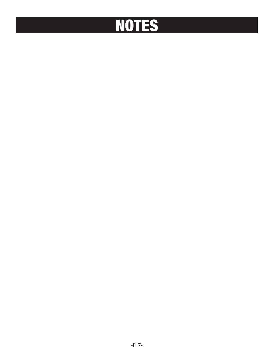# **NOTES**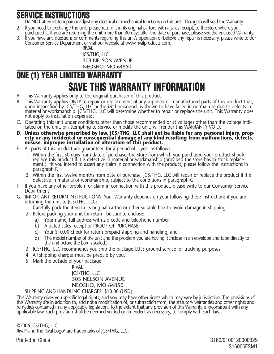### **SERVICE INSTRUCTIONS**

- 1. Do NOT attempt to repair or adjust any electrical or mechanical functions on this unit. Doing so will void the Warranty.
- 2. If you need to exchange the unit, please return it in its original carton, with a sales receipt, to the store where you
- purchased it. If you are returning the unit more than 30 days after the date of purchase, please see the enclosed Warranty. 3. If you have any questions or comments regarding this unit's operation or believe any repair is necessary, please write to our Consumer Service Department or visit our website at www.rivalproducts.com.

RIVAL JCS/THG, LLC 303 NELSON AVENUE NEOSHO, MO 64850

### **ONE (1) YEAR LIMITED WARRANTY SAVE THIS WARRANTY INFORMATION**

- A. This Warranty applies only to the original purchaser of this product.
- B. This Warranty applies ONLY to repair or replacement of any supplied or manufactured parts of this product that, upon inspection by JCS/THG, LLC authorized personnel, is shown to have failed in normal use due to defects in<br>material or workmanship. JCS/THG, LLC will determine whether to repair or replace the unit. This Warranty does not apply to installation expenses.
- C. Operating this unit under conditions other than those recommended or at voltages other than the voltage indi cated on the unit, or attempting to service or modify the unit, will render this WARRANTY VOID.
- **D. Unless otherwise proscribed by law, JCS/THG, LLC shall not be liable for any personal injury, prop erty or any incidental or consequential damage of any kind resulting from malfunctions, defects, misuse, improper installation or alteration of this product.**
- E. All parts of this product are guaranteed for a period of 1 year as follows:
	- 1. Within the first 30 days from date of purchase, the store from which you purchased your product should replace this product if it is defective in material or workmanship (provided the store has in-stock replacement.). \*If you intend to assert any claim in connection with the product, please follow the instructions in paragraph F.
	- 2. Within the first twelve months from date of purchase, JCS/THG, LLC will repair or replace the product if it is defective in material or workmanship, subject to the conditions in paragraph G.
- F. If you have any other problem or claim in connection with this product, please write to our Consumer Service Départment.
- G. IMPORTANT RETURN INSTRUCTIONS. Your Warranty depends on your following these instructions if you are returning the unit to JCS/THG, LLC:
	- 1. Carefully pack the item in its original carton or other suitable box to avoid damage in shipping.
	- 2. Before packing your unit for return, be sure to enclose:
		- a) Your name, full address with zip code and telephone number,
		- b) A dated sales receipt or PROOF OF PURCHASE,
		- c) Your \$10.00 check for return prepaid shipping and handling, and
		- d) The model number of the unit and the problem you are having. (Enclose in an envelope and tape directly to the unit before the box is sealed.)
	- 3. JCS/THG, LLC recommends you ship the package U.P.S ground service for tracking purposes.
	- 4. All shipping charges must be prepaid by you.
	- 5. Mark the outside of your package:

**RIVAL** JCS/THG, LLC 303 NELSON AVENUE NEOSHO, MO 64850

SHIPPING AND HANDLING CHARGES: \$10.00 (USD)

This Warranty gives you specific legal rights, and you may have other rights which may vary by jurisdiction. The provisions of this Warranty are in addition to, and not a modification of, or subtraction from, the statutory warranties and other rights and remedies contained in any applicable legislation. To the extent that any provision of this Warranty is inconsistent with any applicable law, such provision shall be deemed voided or amended, as necessary, to comply with such law.

©2006 JCS/THG, LLC Rival ® and the Rival Logo® are trademarks of JCS/THG, LLC.

Printed in China S160/9100120000329 S16006ESM1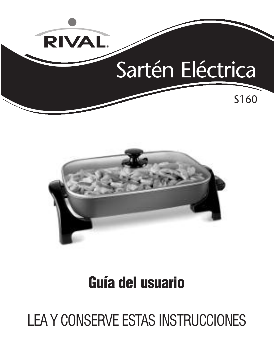



# **Guía del usuario**

# LEA Y CONSERVE ESTAS INSTRUCCIONES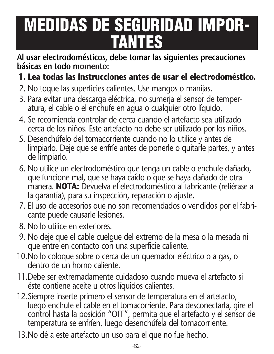# **MEDIDAS DE SEGURIDAD IMPOR- TANTES**

**Al usar electrodomésticos, debe tomar las siguientes precauciones básicas en todo momento:**

### **1. Lea todas las instrucciones antes de usar el electrodoméstico.**

- 2. No toque las superficies calientes. Use mangos o manijas.
- 3. Para evitar una descarga eléctrica, no sumerja el sensor de temperatura, el cable o el enchufe en agua o cualquier otro líquido.
- 4. Se recomienda controlar de cerca cuando el artefacto sea utilizado cerca de los niños. Este artefacto no debe ser utilizado por los niños.
- 5. Desenchúfelo del tomacorriente cuando no lo utilice y antes de limpiarlo. Deje que se enfríe antes de ponerle o quitarle partes, y antes de limpiarlo.
- 6. No utilice un electrodoméstico que tenga un cable o enchufe dañado, que funcione mal, que se haya caído o que se haya dañado de otra manera. **NOTA:** Devuelva el electrodoméstico al fabricante (refiérase a la garantía), para su inspección, reparación o ajuste.
- 7. El uso de accesorios que no son recomendados o vendidos por el fabri cante puede causarle lesiones.
- 8. No lo utilice en exteriores.
- 9. No deje que el cable cuelgue del extremo de la mesa o la mesada ni que entre en contacto con una superficie caliente.
- 10.No lo coloque sobre o cerca de un quemador eléctrico o a gas, o dentro de un horno caliente.
- 11.Debe ser extremadamente cuidadoso cuando mueva el artefacto si éste contiene aceite u otros líquidos calientes.
- 12.Siempre inserte primero el sensor de temperatura en el artefacto, luego enchufe el cable en el tomacorriente. Para desconectarla, gire el control hasta la posición "OFF", permita que el artefacto y el sensor de temperatura se enfríen, luego desenchúfela del tomacorriente.
- 13.No dé a este artefacto un uso para el que no fue hecho.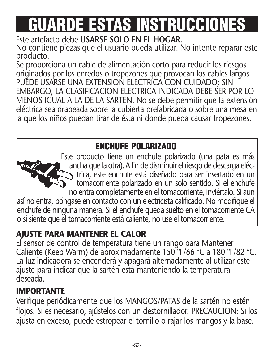# **GUARDE ESTAS INSTRUCCIONES**

Este artefacto debe **USARSE SOLO EN EL HOGAR.** No contiene piezas que el usuario pueda utilizar. No intente reparar este producto.

Se proporciona un cable de alimentación corto para reducir los riesgos originados por los enredos o tropezones que provocan los cables largos. PUEDE USARSE UNA EXTENSION ELECTRICA CON CUIDADO; SIN EMBARGO, LA CLASIFICACION ELECTRICA INDICADA DEBE SER POR LO MENOS IGUAL A LA DE LA SARTEN. No se debe permitir que la extensión eléctrica sea drapeada sobre la cubierta prefabricada o sobre una mesa en la que los niños puedan tirar de ésta ni donde pueda causar tropezones.

### **ENCHUFE POLARIZADO**

Este producto tiene un enchufe polarizado (una pata es más ancha que la otra). A fin de disminuir el riesgo de descarga eléctrica, este enchufe está diseñado para ser insertado en un tomacorriente polarizado en un solo sentido. Si el enchufe no entra completamente en el tomacorriente, inviértalo. Si aun así no entra, póngase en contacto con un electricista calificado. No modifique el enchufe de ninguna manera. Si el enchufe queda suelto en el tomacorriente CA  $\vert$ o si siente que el tomacorriente está caliente, no use el tomacorriente.

### **AJUSTE PARA MANTENER EL CALOR**

El sensor de control de temperatura tiene un rango para Mantener Caliente (Keep Warm) de aproximadamente 150 °F/66 °C a 180 °F/82 °C. La luz indicadora se encenderá y apagará alternadamente al utilizar este ajuste para indicar que la sartén está manteniendo la temperatura deseada.

### **IMPORTANTE**

Verifique periódicamente que los MANGOS/PATAS de la sartén no estén flojos. Si es necesario, ajústelos con un destornillador. PRECAUCION: Si los ajusta en exceso, puede estropear el tornillo o rajar los mangos y la base.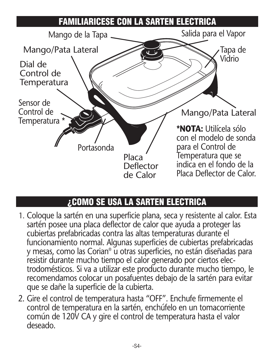

### **¿COMO SE USA LA SARTEN ELECTRICA**

- 1. Coloque la sartén en una superficie plana, seca y resistente al calor. Esta sartén posee una placa deflector de calor que ayuda a proteger las cubiertas prefabricadas contra las altas temperaturas durante el funcionamiento normal. Algunas superficies de cubiertas prefabricadas y mesas, como las Corian® u otras superficies, no están diseñadas para resistir durante mucho tiempo el calor generado por ciertos electrodomésticos. Si va a utilizar este producto durante mucho tiempo, le recomendamos colocar un posafuentes debajo de la sartén para evitar que se dañe la superficie de la cubierta.
- 2. Gire el control de temperatura hasta "OFF". Enchufe firmemente el control de temperatura en la sartén, enchúfelo en un tomacorriente común de 120V CA y gire el control de temperatura hasta el valor deseado.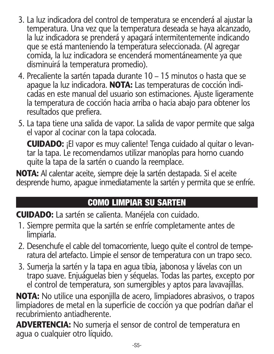- 3. La luz indicadora del control de temperatura se encenderá al ajustar la temperatura. Una vez que la temperatura deseada se haya alcanzado, la luz indicadora se prenderá y apagará intermitentemente indicando que se está manteniendo la temperatura seleccionada. (Al agregar comida, la luz indicadora se encenderá momentáneamente ya que disminuirá la temperatura promedio).
- 4. Precaliente la sartén tapada durante 10 15 minutos o hasta que se apague la luz indicadora. **NOTA:** Las temperaturas de cocción indicadas en este manual del usuario son estimaciones. Ajuste ligeramente la temperatura de cocción hacia arriba o hacia abajo para obtener los resultados que prefiera.
- 5. La tapa tiene una salida de vapor. La salida de vapor permite que salga el vapor al cocinar con la tapa colocada.

**CUIDADO:** ¡El vapor es muy caliente! Tenga cuidado al quitar o levantar la tapa. Le recomendamos utilizar manoplas para horno cuando quite la tapa de la sartén o cuando la reemplace.

**NOTA:** Al calentar aceite, siempre deje la sartén destapada. Si el aceite desprende humo, apague inmediatamente la sartén y permita que se enfríe.

### **COMO LIMPIAR SU SARTEN**

**CUIDADO:** La sartén se calienta. Manéjela con cuidado.

- 1. Siempre permita que la sartén se enfríe completamente antes de limpiarla.
- 2. Desenchufe el cable del tomacorriente, luego quite el control de temperatura del artefacto. Limpie el sensor de temperatura con un trapo seco.
- 3. Sumerja la sartén y la tapa en agua tibia, jabonosa y lávelas con un trapo suave. Enjuáguelas bien y séquelas. Todas las partes, excepto por el control de temperatura, son sumergibles y aptos para lavavajillas.

**NOTA:** No utilice una esponjilla de acero, limpiadores abrasivos, o trapos limpiadores de metal en la superficie de cocción ya que podrían dañar el recubrimiento antiadherente.

**ADVERTENCIA:** No sumerja el sensor de control de temperatura en agua o cualquier otro líquido.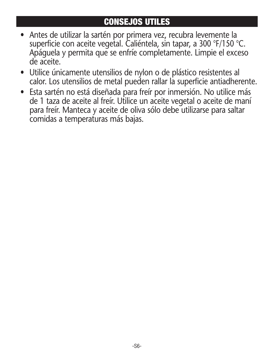### **CONSEJOS UTILES**

- Antes de utilizar la sartén por primera vez, recubra levemente la superficie con aceite vegetal. Caliéntela, sin tapar, a 300 °F/150 °C. Apáguela y permita que se enfríe completamente. Limpie el exceso de aceite.
- Utilice únicamente utensilios de nylon o de plástico resistentes al calor. Los utensilios de metal pueden rallar la superficie antiadherente.
- Esta sartén no está diseñada para freír por inmersión. No utilice más de 1 taza de aceite al freír. Utilice un aceite vegetal o aceite de maní para freír. Manteca y aceite de oliva sólo debe utilizarse para saltar comidas a temperaturas más bajas.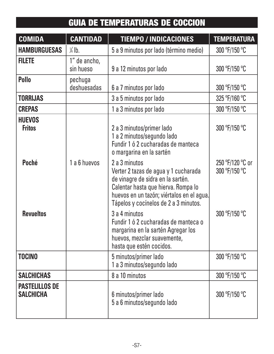### **GUIA DE TEMPERATURAS DE COCCION**

| <b>COMIDA</b>                             | <b>CANTIDAD</b>           | <b>TIEMPO / INDICACIONES</b>                                                                                                                                                                                            | <b>TEMPERATURA</b>                |
|-------------------------------------------|---------------------------|-------------------------------------------------------------------------------------------------------------------------------------------------------------------------------------------------------------------------|-----------------------------------|
| <b>HAMBURGUESAS</b>                       | $\frac{1}{4}$ lb.         | 5 a 9 minutos por lado (término medio)                                                                                                                                                                                  | 300 °F/150 °C                     |
| <b>FILETE</b>                             | 1" de ancho,<br>sin hueso | 9 a 12 minutos por lado                                                                                                                                                                                                 | 300 °F/150 °C                     |
| Pollo                                     | pechuga<br>deshuesadas    | 6 a 7 minutos por lado                                                                                                                                                                                                  | 300 °F/150 °C                     |
| <b>TORRIJAS</b>                           |                           | 3 a 5 minutos por lado                                                                                                                                                                                                  | 325 °F/160 °C                     |
| <b>CREPAS</b>                             |                           | 1 a 3 minutos por lado                                                                                                                                                                                                  | 300 °F/150 °C                     |
| <b>HUEVOS</b><br><b>Fritos</b>            |                           | 2 a 3 minutos/primer lado<br>1 a 2 minutos/segundo lado<br>Fundir 1 ó 2 cucharadas de manteca<br>o margarina en la sartén                                                                                               | 300 °F/150 °C                     |
| Poché                                     | 1 a 6 huevos              | 2 a 3 minutos<br>Verter 2 tazas de agua y 1 cucharada<br>de vinagre de sidra en la sartén.<br>Calentar hasta que hierva. Rompa lo<br>huevos en un tazón; viértalos en el aqua.<br>Tápelos y cocínelos de 2 a 3 minutos. | 250 °F/120 °C or<br>300 °F/150 °C |
| <b>Revueltos</b>                          |                           | 3 a 4 minutos<br>Fundir 1 ó 2 cucharadas de manteca o<br>margarina en la sartén Agregar los<br>huevos, mezclar suavemente,<br>hasta que estén cocidos.                                                                  | 300 °F/150 °C                     |
| <b>TOCINO</b>                             |                           | 5 minutos/primer lado<br>1 a 3 minutos/segundo lado                                                                                                                                                                     | 300 °F/150 °C                     |
| <b>SALCHICHAS</b>                         |                           | 8 a 10 minutos                                                                                                                                                                                                          | 300 °F/150 °C                     |
| <b>PASTELILLOS DE</b><br><b>SALCHICHA</b> |                           | 6 minutos/primer lado<br>5 a 6 minutos/segundo lado                                                                                                                                                                     | 300 °F/150 °C                     |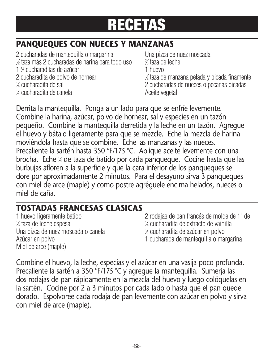### **PANQUEQUES CON NUECES Y MANZANAS**

2 cucharadas de mantequilla o margarina Una pizca de nuez moscada 1 ⁄2 taza más 2 cucharadas de harina para todo uso <sup>2</sup> 1 % cucharaditas de azúcar 1 huevo 2 cucharadita de polvo de hornear V cucharadita de sal 1/4 cucharadita de canela **Aceite** vegetal

⁄3 taza de leche ⁄2 taza de manzana pelada y picada finamente 2 cucharadas de nueces o pecanas picadas<br>Aceite vegetal

Derrita la mantequilla. Ponga a un lado para que se enfríe levemente. Combine la harina, azúcar, polvo de hornear, sal y especies en un tazón pequeño. Combine la mantequilla derretida y la leche en un tazón. Agregue el huevo y bátalo ligeramente para que se mezcle. Eche la mezcla de harina moviéndola hasta que se combine. Eche las manzanas y las nueces. Precaliente la sartén hasta 350 °F/175 °C. Aplique aceite levemente con una brocha. Eche <sup>1</sup> ⁄4 de taza de batido por cada panqueque. Cocine hasta que las burbujas afloren a la superficie y que la cara inferior de los panqueques se dore por aproximadamente 2 minutos. Para el desayuno sirva 3 panqueques con miel de arce (maple) y como postre agréguele encima helados, nueces o miel de caña.

### **TOSTADAS FRANCESAS CLASICAS**

1 ⁄3 taza de leche espesa <sup>1</sup> Una pizca de nuez moscada o canela <sup>1</sup> Miel de arce (maple)

2 rodajas de pan francés de molde de 1" de ⁄4 cucharadita de extracto de vainilla ⁄2 cucharadita de azúcar en polvo Azúcar en polvo 1 cucharada de mantequilla o margarina

Combine el huevo, la leche, especias y el azúcar en una vasija poco profunda. Precaliente la sartén a 350 °F/175 °C y agregue la mantequilla. Sumerja las dos rodajas de pan rápidamente en la mezcla del huevo y luego colóquelas en la sartén. Cocine por 2 a 3 minutos por cada lado o hasta que el pan quede dorado. Espolvoree cada rodaja de pan levemente con azúcar en polvo y sirva con miel de arce (maple).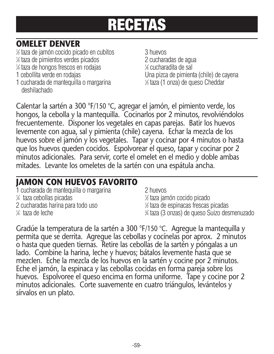### **OMELET DENVER**

1 ⁄2 taza de jamón cocido picado en cubitos 3 huevos

- 1 ⁄4 taza de pimientos verdes picados 2 cucharadas de agua
- 1 ⁄4 taza de hongos frescos en rodajas <sup>1</sup>
- 
- 1 cucharada de mantequilla o margarina <sup>1</sup> deshilachado

2 cucharadas de agua<br><sup>1⁄8</sup> cucharadita de sal 1 cebollita verde en rodajas Una pizca de pimienta (chile) de cayena ⁄3 taza (1 onza) de queso Cheddar

Calentar la sartén a 300 °F/150 °C, agregar el jamón, el pimiento verde, los hongos, la cebolla y la mantequilla. Cocinarlos por 2 minutos, revolviéndolos frecuentemente. Disponer los vegetales en capas parejas. Batir los huevos levemente con agua, sal y pimienta (chile) cayena. Echar la mezcla de los huevos sobre el jamón y los vegetales. Tapar y cocinar por 4 minutos o hasta que los huevos queden cocidos. Espolvorear el queso, tapar y cocinar por 2 minutos adicionales. Para servir, corte el omelet en el medio y doble ambas mitades. Levante los omeletes de la sartén con una espátula ancha.

### **JAMON CON HUEVOS FAVORITO**

 cucharada de mantequilla o margarina 2 huevos ⁄4 taza cebollas picadas <sup>1</sup> cucharadas harina para todo uso <sup>1</sup>  $\frac{1}{4}$  taza de leche  $\frac{3}{4}$ 

⁄2 taza jamón cocido picado ⁄2 taza de espinacas frescas picadas ⁄4 taza (3 onzas) de queso Suizo desmenuzado

Gradúe la temperatura de la sartén a 300 °F/150 °C. Agregue la mantequilla y permita que se derrita. Agregue las cebollas y cocínelas por aprox. 2 minutos o hasta que queden tiernas. Retire las cebollas de la sartén y póngalas a un lado. Combine la harina, leche y huevos; bátalos levemente hasta que se mezclen. Eche la mezcla de los huevos en la sartén y cocine por 2 minutos. Eche el jamón, la espinaca y las cebollas cocidas en forma pareja sobre los huevos. Espolvoree el queso encima en forma uniforme. Tape y cocine por 2 minutos adicionales. Corte suavemente en cuatro triángulos, levántelos y sírvalos en un plato.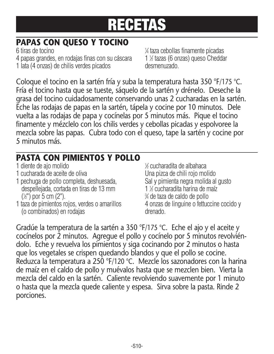### **PAPAS CON QUESO Y TOCINO**

6 tiras de tocino <sup>1</sup> 4 papas grandes, en rodajas finas con su cáscara 1 lata (4 onzas) de chilis verdes picados desmenuzado.

⁄4 taza cebollas finamente picadas ⁄2 tazas (6 onzas) queso Cheddar

Coloque el tocino en la sartén fría y suba la temperatura hasta 350 °F/175 °C. Fría el tocino hasta que se tueste, sáquelo de la sartén y drénelo. Deseche la grasa del tocino cuidadosamente conservando unas 2 cucharadas en la sartén. Eche las rodajas de papas en la sartén, tápela y cocine por 10 minutos. Dele vuelta a las rodajas de papa y cocínelas por 5 minutos más. Pique el tocino finamente y mézclelo con los chilis verdes y cebollas picadas y espolvoree la mezcla sobre las papas. Cubra todo con el queso, tape la sartén y cocine por 5 minutos más.

### **PASTA CON PIMIENTOS Y POLLO**

- 1 diente de aio molido
- 
- 1 pechuga de pollo completa, deshuesada, Sal y pimienta negra molida al gusto despellejada, cortada en tiras de 13 mm  $(\frac{1}{2})$  por 5 cm (2").
- 1 taza de pimientos rojos, verdes o amarillos (o combinados) en rodajas drenado.

⁄2 cucharadita de albahaca 1 cucharada de aceite de oliva Una pizca de chili rojo molido ⁄2 cucharadita harina de maíz ⁄4 de taza de caldo de pollo

Gradúe la temperatura de la sartén a 350 °F/175 °C. Eche el ajo y el aceite y cocínelos por 2 minutos. Agregue el pollo y cocínelo por 5 minutos revolviéndolo. Eche y revuelva los pimientos y siga cocinando por 2 minutos o hasta que los vegetales se crispen quedando blandos y que el pollo se cocine. Reduzca la temperatura a 250 °F/120 °C. Mezcle los sazonadores con la harina de maíz en el caldo de pollo y muévalos hasta que se mezclen bien. Vierta la mezcla del caldo en la sartén. Caliente revolviendo suavemente por 1 minuto o hasta que la mezcla quede caliente y espesa. Sirva sobre la pasta. Rinde 2 porciones.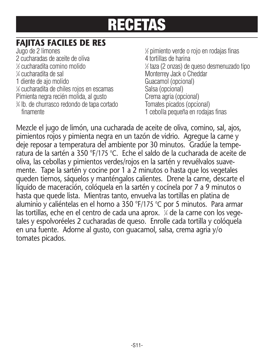### **FAJITAS FACILES DE RES**

Jugo de 2 limones <sup>1</sup> 2 cucharadas de aceite de oliva 4 tortillas de harina 1 ⁄2 cucharadita comino molido <sup>1</sup> V cucharadita de sal 1 diente de ajo molido Guacamol (opcional) 1 ⁄8 cucharadita de chiles rojos en escamas Salsa (opcional) Pimienta negra recién molida, al gusto Crema agria (opcional) 3 ⁄4 lb. de churrasco redondo de tapa cortado Tomates picados (opcional) finamente 1 cebolla pequeña en rodajas finas

⁄2 pimiento verde o rojo en rodajas finas ⁄2 taza (2 onzas) de queso desmenuzado tipo Monterrey Jack o Cheddar

Mezcle el jugo de limón, una cucharada de aceite de oliva, comino, sal, ajos, pimientos rojos y pimienta negra en un tazón de vidrio. Agregue la carne y deje reposar a temperatura del ambiente por 30 minutos. Gradúe la temperatura de la sartén a 350 °F/175 °C. Eche el saldo de la cucharada de aceite de oliva, las cebollas y pimientos verdes/rojos en la sartén y revuélvalos suavemente. Tape la sartén y cocine por 1 a 2 minutos o hasta que los vegetales queden tiernos, sáquelos y manténgalos calientes. Drene la carne, descarte el líquido de maceración, colóquela en la sartén y cocínela por 7 a 9 minutos o hasta que quede lista. Mientras tanto, envuelva las tortillas en platina de aluminio y caliéntelas en el horno a 350 °F/175 °C por 5 minutos. Para armar las tortillas, eche en el centro de cada una aprox. ¼ de la carne con los vegetales y espolvoréeles 2 cucharadas de queso. Enrolle cada tortilla y colóquela en una fuente. Adorne al gusto, con guacamol, salsa, crema agria y/o tomates picados.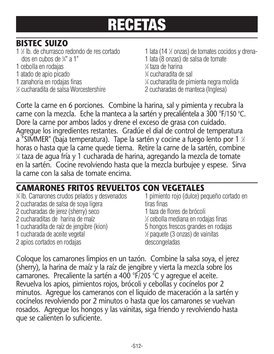### **BISTEC SUIZO**

- 1 % lb. de churrasco redondo de res cortado 1 lata (14 % dos en cubos de <sup>3</sup>
- 1 cebolla en rodajas <sup>1</sup>
- 1 atado de apio picado
- 1 zanahoria en rodajas finas
- **1/2 cucharadita de salsa Worcestershire**

1 lata (14 % onzas) de tomates cocidos y drena-1 lata (8 onzas) de salsa de tomate ⁄4 taza de harina ⁄4 cucharadita de sal ⁄4 cucharadita de pimienta negra molida

2 cucharadas de manteca (Inglesa)

Corte la carne en 6 porciones. Combine la harina, sal y pimienta y recubra la carne con la mezcla. Eche la manteca a la sartén y precaliéntela a 300 °F/150 °C. Dore la carne por ambos lados y drene el exceso de grasa con cuidado. Agregue los ingredientes restantes. Gradúe el dial de control de temperatura a "SIMMER" (baja temperatura). Tape la sartén y cocine a fuego lento por 1 ½ horas o hasta que la carne quede tierna. Retire la carne de la sartén, combine 1 ⁄4 taza de agua fría y 1 cucharada de harina, agregando la mezcla de tomate en la sartén. Cocine revolviendo hasta que la mezcla burbujee y espese. Sirva la carne con la salsa de tomate encima.

### **CAMARONES FRITOS REVUELTOS CON VEGETALES**

% lb. Camarones crudos pelados y desvenados 2 cucharadas de salsa de soya ligera tiras finas 2 cucharadas de jerez (sherry) seco 1 taza de flores de brócoli 2 cucharaditas de harina de maíz <sup>1</sup> 1 cucharadita de raíz de jengibre (kion) 1 cucharada de aceite vegetal 2 apios cortados en rodajas

1 pimiento rojo (dulce) pequeño cortado en

- 
- ⁄2 cebolla mediana en rodajas finas
- 
- ⁄2 paquete (3 onzas) de vainitas
- 

Coloque los camarones limpios en un tazón. Combine la salsa soya, el jerez (sherry), la harina de maíz y la raíz de jengibre y vierta la mezcla sobre los camarones. Precaliente la sartén a 400 °F/205 °C y agregue el aceite. Revuelva los apios, pimientos rojos, brócoli y cebollas y cocínelos por 2 minutos. Agregue los cameranos con el liquido de maceración a la sartén y cocínelos revolviendo por 2 minutos o hasta que los camarones se vuelvan rosados. Agregue los hongos y las vainitas, siga friendo y revolviendo hasta que se calienten lo suficiente.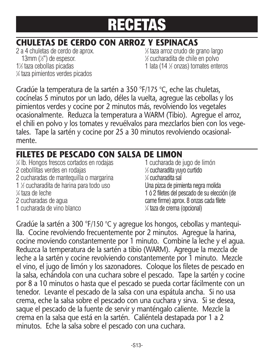### **CHULETAS DE CERDO CON ARROZ Y ESPINACAS**

 a 4 chuletas de cerdo de aprox. <sup>1</sup> mm  $(\frac{1}{2})$  de espesor. 1% taza cebollas picadas 1 lata (14 1 ⁄4 taza pimientos verdes picados

⁄3 taza arroz crudo de grano largo ⁄2 cucharadita de chile en polvo 1 lata (14 % onzas) tomates enteros

Gradúe la temperatura de la sartén a 350 °F/175 °C, eche las chuletas, cocínelas 5 minutos por un lado, déles la vuelta, agregue las cebollas y los pimientos verdes y cocine por 2 minutos más, revolviendo los vegetales ocasionalmente. Reduzca la temperatura a WARM (Tibio). Agregue el arroz, el chili en polvo y los tomates y revuélvalos para mezclarlos bien con los vegetales. Tape la sartén y cocine por 25 a 30 minutos revolviendo ocasionalmente.

### **FILETES DE PESCADO CON SALSA DE LIMON**

1 ⁄4 lb. Hongos frescos cortados en rodajas 1 cucharada de jugo de limón 2 cebollitas verdes en rodajas <sup>1</sup> 2 cucharadas de mantequilla o margarina <sup>1</sup> 1 % cucharadita de harina para todo uso Una pizca de pimienta negra molida 1⁄4 taza de leche ¼ taza de leche 1 ó 2 filetes del pescado de su elección (de 1 ó 2 filetes del pescado de su elección (de 2 fi<br>2 cucharadas de aqua 1 cucharada de vino blanco <sup>1</sup>

⁄3 cucharadita yuyo curtido ¼ cucharadita sal<br>Una pizca de pimienta negra molida carne firme) aprox. 8 onzas cada filete ⁄4 taza de crema (opcional)

Gradúe la sartén a 300 °F/150 °C y agregue los hongos, cebollas y mantequilla. Cocine revolviendo frecuentemente por 2 minutos. Agregue la harina, cocine moviendo constantemente por 1 minuto. Combine la leche y el agua. Reduzca la temperatura de la sartén a tibio (WARM). Agregue la mezcla de leche a la sartén y cocine revolviendo constantemente por 1 minuto. Mezcle el vino, el jugo de limón y los sazonadores. Coloque los filetes de pescado en la salsa, echándola con una cuchara sobre el pescado. Tape la sartén y cocine por 8 a 10 minutos o hasta que el pescado se pueda cortar fácilmente con un tenedor. Levante el pescado de la salsa con una espátula ancha. Si no usa crema, eche la salsa sobre el pescado con una cuchara y sirva. Si se desea, saque el pescado de la fuente de servir y manténgalo caliente. Mezcle la crema en la salsa que está en la sartén. Caliéntela destapada por 1 a 2 minutos. Eche la salsa sobre el pescado con una cuchara.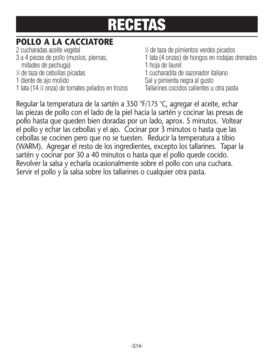### **POLLO A LA CACCIATORE**

2 cucharadas aceite vegetal <sup>1</sup>

- mitades de pechuga) 1 hoja de laurel
- 
- % de taza de cebollas picadas
- 
- 1 lata (14  $\frac{1}{2}$  onza) de tomates pelados en trozos

⁄3 de taza de pimientos verdes picados 3 a 4 piezas de pollo (muslos, piernas, 1 lata (4 onzas) de hongos en rodajas drenados ⁄3 de taza de cebollas picadas 1 cucharadita de sazonador italiano Sal y pimienta negra al gusto Tallarines cocidos calientes u otra pasta

Regular la temperatura de la sartén a 350 °F/175 °C, agregar el aceite, echar las piezas de pollo con el lado de la piel hacia la sartén y cocinar las presas de pollo hasta que queden bien doradas por un lado, aprox. 5 minutos. Voltear el pollo y echar las cebollas y el ajo. Cocinar por 3 minutos o hasta que las cebollas se cocinen pero que no se tuesten. Reducir la temperatura a tibio (WARM). Agregar el resto de los ingredientes, excepto los tallarines. Tapar la sartén y cocinar por 30 a 40 minutos o hasta que el pollo quede cocido. Revolver la salsa y echarla ocasionalmente sobre el pollo con una cuchara. Servir el pollo y la salsa sobre los tallarines o cualquier otra pasta.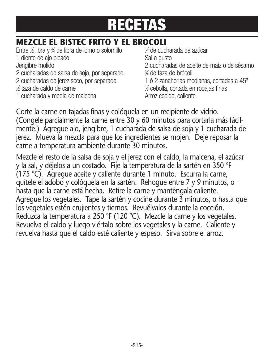### **MEZCLE EL BISTEC FRITO Y EL BROCOLI**

Entre <sup>1</sup> ⁄2 libra y <sup>3</sup> ⁄4 de libra de lomo o solomillo <sup>1</sup> 1 diente de ajo picado en el seu seu Sal a gusto Sal a gusto en el seu Sal a gusto en el seu Sal a gusto en el<br>Sal a gusto en el seu Sal a gusto en el seu Sal a gusto en el seu Sal a gusto en el seu Sal a gusto en el seu 2 cucharadas de salsa de soja, por separado <sup>3</sup> 2 cucharadas de jerez seco, por separado 1 ó 2 zanahorias medianas, cortadas a 45º  $\frac{1}{2}$  taza de caldo de carne  $\frac{1}{2}$ 1 cucharada y media de maicena **Arroz** cocido, caliente

⁄4 de cucharada de azúcar 2 cucharadas de aceite de maíz o de sésamo ⁄4 de taza de brócoli ⁄2 cebolla, cortada en rodajas finas

Corte la carne en tajadas finas y colóquela en un recipiente de vidrio. (Congele parcialmente la carne entre 30 y 60 minutos para cortarla más fácilmente.) Agregue ajo, jengibre, 1 cucharada de salsa de soja y 1 cucharada de jerez. Mueva la mezcla para que los ingredientes se mojen. Deje reposar la carne a temperatura ambiente durante 30 minutos.

Mezcle el resto de la salsa de soja y el jerez con el caldo, la maicena, el azúcar y la sal, y déjelos a un costado. Fije la temperatura de la sartén en 350 °F (175 °C). Agregue aceite y caliente durante 1 minuto. Escurra la carne, quítele el adobo y colóquela en la sartén. Rehogue entre 7 y 9 minutos, o hasta que la carne está hecha. Retire la carne y manténgala caliente. Agregue los vegetales. Tape la sartén y cocine durante 3 minutos, o hasta que los vegetales estén crujientes y tiernos. Revuélvalos durante la cocción. Reduzca la temperatura a 250 °F (120 °C). Mezcle la carne y los vegetales. Revuelva el caldo y luego viértalo sobre los vegetales y la carne. Caliente y revuelva hasta que el caldo esté caliente y espeso. Sirva sobre el arroz.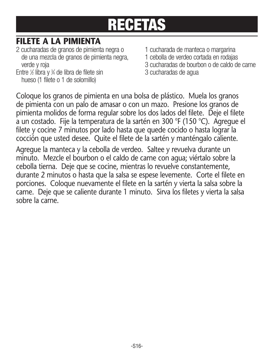### **FILETE A LA PIMIENTA**

- 2 cucharadas de granos de pimienta negra o 1 cucharada de manteca o margarina de una mezcla de granos de pimienta negra, verde y roja 3 cucharadas de bourbon o de caldo de carne
- Entre <sup>1</sup> ⁄2 libra y <sup>3</sup> hueso (1 filete o 1 de solomillo)
- 
- 
- 
- 3 cucharadas de agua

Coloque los granos de pimienta en una bolsa de plástico. Muela los granos de pimienta con un palo de amasar o con un mazo. Presione los granos de pimienta molidos de forma regular sobre los dos lados del filete. Deje el filete a un costado. Fije la temperatura de la sartén en 300 °F (150 °C). Agregue el filete y cocine 7 minutos por lado hasta que quede cocido o hasta lograr la cocción que usted desee. Quite el filete de la sartén y manténgalo caliente.

Agregue la manteca y la cebolla de verdeo. Saltee y revuelva durante un minuto. Mezcle el bourbon o el caldo de carne con agua; viértalo sobre la cebolla tierna. Deje que se cocine, mientras lo revuelve constantemente, durante 2 minutos o hasta que la salsa se espese levemente. Corte el filete en porciones. Coloque nuevamente el filete en la sartén y vierta la salsa sobre la carne. Deje que se caliente durante 1 minuto. Sirva los filetes y vierta la salsa sobre la carne.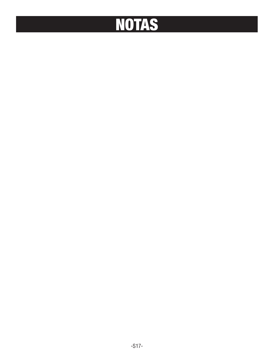# **NOTAS**